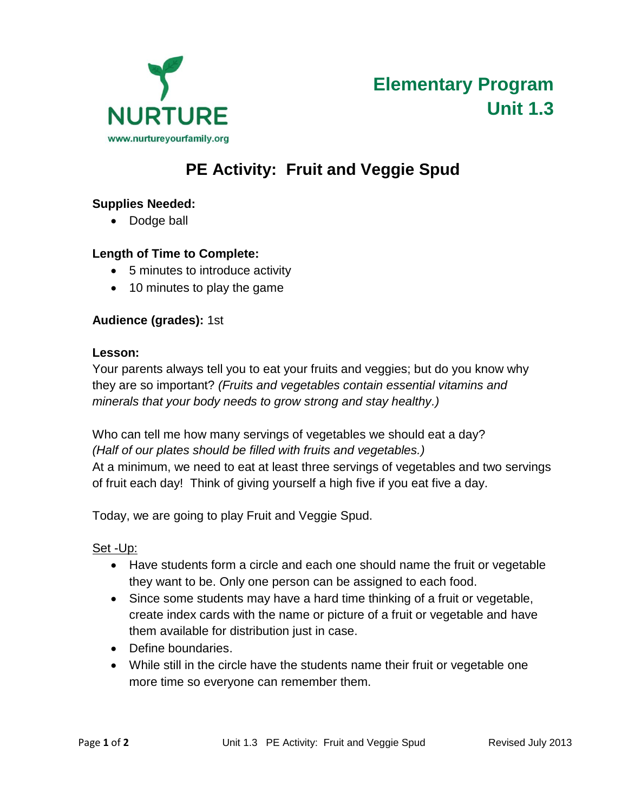

**Elementary Program Unit 1.3** 

# **PE Activity: Fruit and Veggie Spud**

## **Supplies Needed:**

• Dodge ball

### **Length of Time to Complete:**

- 5 minutes to introduce activity
- 10 minutes to play the game

### **Audience (grades):** 1st

#### **Lesson:**

Your parents always tell you to eat your fruits and veggies; but do you know why they are so important? *(Fruits and vegetables contain essential vitamins and minerals that your body needs to grow strong and stay healthy.)*

Who can tell me how many servings of vegetables we should eat a day? *(Half of our plates should be filled with fruits and vegetables.)*  At a minimum, we need to eat at least three servings of vegetables and two servings of fruit each day! Think of giving yourself a high five if you eat five a day.

Today, we are going to play Fruit and Veggie Spud.

### Set -Up:

- Have students form a circle and each one should name the fruit or vegetable they want to be. Only one person can be assigned to each food.
- Since some students may have a hard time thinking of a fruit or vegetable, create index cards with the name or picture of a fruit or vegetable and have them available for distribution just in case.
- Define boundaries.
- While still in the circle have the students name their fruit or vegetable one more time so everyone can remember them.